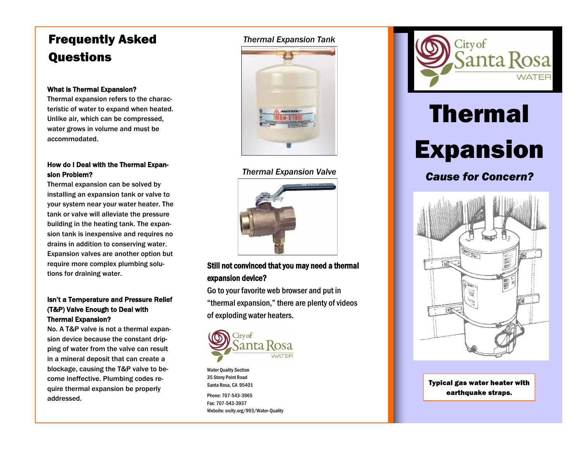## Frequently Asked Questions

## What is Thermal Expansion?

Thermal expansion refers to the characteristic of water to expand when heated. Unlike air, which can be compressed, water grows in volume and must be accommodated.

## How do I Deal with the Thermal Expansion Problem?

Thermal expansion can be solved by installing an expansion tank or valve to your system near your water heater. The tank or valve will alleviate the pressure building in the heating tank. The expansion tank is inexpensive and requires no drains in addition to conserving water. Expansion valves are another option but require more complex plumbing solutions for draining water.

## Isn't a Temperature and Pressure Relief (T&P) Valve Enough to Deal with Thermal Expansion?

No. A T&P valve is not a thermal expansion device because the constant dripping of water from the valve can result in a mineral deposit that can create a blockage, causing the T&P valve to become ineffective. Plumbing codes require thermal expansion be properly addressed.

## *Thermal Expansion Tank*



## *Thermal Expansion Valve*



## Still not convinced that you may need a thermal expansion device?

Go to your favorite web browser and put in "thermal expansion," there are plenty of videos of exploding water heaters.



Water Quality Section 35 Stony Point Road Santa Rosa, CA 95401

Phone: 707-543-3965 Fax: 707-543-3937 Website: srcity.org/993/Water-Quality



# Thermal Expansion

*Cause for Concern?*



**Typical gas water heater with** earthquake straps.